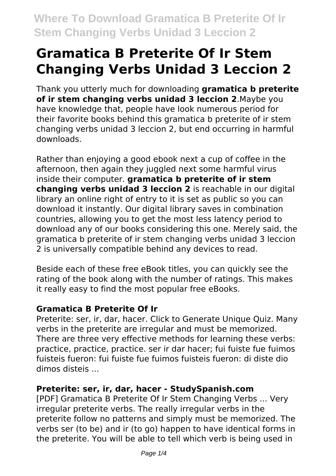# **Gramatica B Preterite Of Ir Stem Changing Verbs Unidad 3 Leccion 2**

Thank you utterly much for downloading **gramatica b preterite of ir stem changing verbs unidad 3 leccion 2**.Maybe you have knowledge that, people have look numerous period for their favorite books behind this gramatica b preterite of ir stem changing verbs unidad 3 leccion 2, but end occurring in harmful downloads.

Rather than enjoying a good ebook next a cup of coffee in the afternoon, then again they juggled next some harmful virus inside their computer. **gramatica b preterite of ir stem changing verbs unidad 3 leccion 2** is reachable in our digital library an online right of entry to it is set as public so you can download it instantly. Our digital library saves in combination countries, allowing you to get the most less latency period to download any of our books considering this one. Merely said, the gramatica b preterite of ir stem changing verbs unidad 3 leccion 2 is universally compatible behind any devices to read.

Beside each of these free eBook titles, you can quickly see the rating of the book along with the number of ratings. This makes it really easy to find the most popular free eBooks.

#### **Gramatica B Preterite Of Ir**

Preterite: ser, ir, dar, hacer. Click to Generate Unique Quiz. Many verbs in the preterite are irregular and must be memorized. There are three very effective methods for learning these verbs: practice, practice, practice. ser ir dar hacer; fui fuiste fue fuimos fuisteis fueron: fui fuiste fue fuimos fuisteis fueron: di diste dio dimos disteis ...

#### **Preterite: ser, ir, dar, hacer - StudySpanish.com**

[PDF] Gramatica B Preterite Of Ir Stem Changing Verbs ... Very irregular preterite verbs. The really irregular verbs in the preterite follow no patterns and simply must be memorized. The verbs ser (to be) and ir (to go) happen to have identical forms in the preterite. You will be able to tell which verb is being used in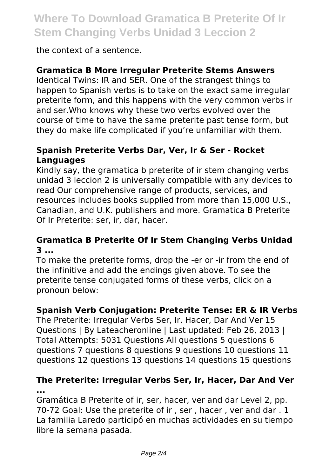### **Where To Download Gramatica B Preterite Of Ir Stem Changing Verbs Unidad 3 Leccion 2**

the context of a sentence.

#### **Gramatica B More Irregular Preterite Stems Answers**

Identical Twins: IR and SER. One of the strangest things to happen to Spanish verbs is to take on the exact same irregular preterite form, and this happens with the very common verbs ir and ser.Who knows why these two verbs evolved over the course of time to have the same preterite past tense form, but they do make life complicated if you're unfamiliar with them.

#### **Spanish Preterite Verbs Dar, Ver, Ir & Ser - Rocket Languages**

Kindly say, the gramatica b preterite of ir stem changing verbs unidad 3 leccion 2 is universally compatible with any devices to read Our comprehensive range of products, services, and resources includes books supplied from more than 15,000 U.S., Canadian, and U.K. publishers and more. Gramatica B Preterite Of Ir Preterite: ser, ir, dar, hacer.

#### **Gramatica B Preterite Of Ir Stem Changing Verbs Unidad 3 ...**

To make the preterite forms, drop the -er or -ir from the end of the infinitive and add the endings given above. To see the preterite tense conjugated forms of these verbs, click on a pronoun below:

#### **Spanish Verb Conjugation: Preterite Tense: ER & IR Verbs**

The Preterite: Irregular Verbs Ser, Ir, Hacer, Dar And Ver 15 Questions | By Lateacheronline | Last updated: Feb 26, 2013 | Total Attempts: 5031 Questions All questions 5 questions 6 questions 7 questions 8 questions 9 questions 10 questions 11 questions 12 questions 13 questions 14 questions 15 questions

#### **The Preterite: Irregular Verbs Ser, Ir, Hacer, Dar And Ver ...**

Gramática B Preterite of ir, ser, hacer, ver and dar Level 2, pp. 70-72 Goal: Use the preterite of ir , ser , hacer , ver and dar . 1 La familia Laredo participó en muchas actividades en su tiempo libre la semana pasada.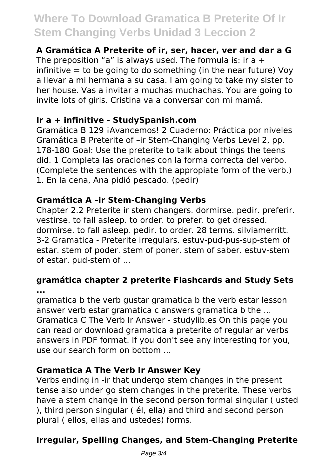## **Where To Download Gramatica B Preterite Of Ir Stem Changing Verbs Unidad 3 Leccion 2**

#### **A Gramática A Preterite of ir, ser, hacer, ver and dar a G**

The preposition "a" is always used. The formula is: ir a  $+$ infinitive  $=$  to be going to do something (in the near future) Voy a llevar a mi hermana a su casa. I am going to take my sister to her house. Vas a invitar a muchas muchachas. You are going to invite lots of girls. Cristina va a conversar con mi mamá.

#### **Ir a + infinitive - StudySpanish.com**

Gramática B 129 ¡Avancemos! 2 Cuaderno: Práctica por niveles Gramática B Preterite of –ir Stem-Changing Verbs Level 2, pp. 178-180 Goal: Use the preterite to talk about things the teens did. 1 Completa las oraciones con la forma correcta del verbo. (Complete the sentences with the appropiate form of the verb.) 1. En la cena, Ana pidió pescado. (pedir)

#### **Gramática A –ir Stem-Changing Verbs**

Chapter 2.2 Preterite ir stem changers. dormirse. pedir. preferir. vestirse. to fall asleep. to order. to prefer. to get dressed. dormirse. to fall asleep. pedir. to order. 28 terms. silviamerritt. 3-2 Gramatica - Preterite irregulars. estuv-pud-pus-sup-stem of estar. stem of poder. stem of poner. stem of saber. estuv-stem of estar. pud-stem of ...

#### **gramática chapter 2 preterite Flashcards and Study Sets ...**

gramatica b the verb gustar gramatica b the verb estar lesson answer verb estar gramatica c answers gramatica b the ... Gramatica C The Verb Ir Answer - studylib.es On this page you can read or download gramatica a preterite of regular ar verbs answers in PDF format. If you don't see any interesting for you, use our search form on bottom ...

#### **Gramatica A The Verb Ir Answer Key**

Verbs ending in -ir that undergo stem changes in the present tense also under go stem changes in the preterite. These verbs have a stem change in the second person formal singular ( usted ), third person singular ( él, ella) and third and second person plural ( ellos, ellas and ustedes) forms.

### **Irregular, Spelling Changes, and Stem-Changing Preterite**